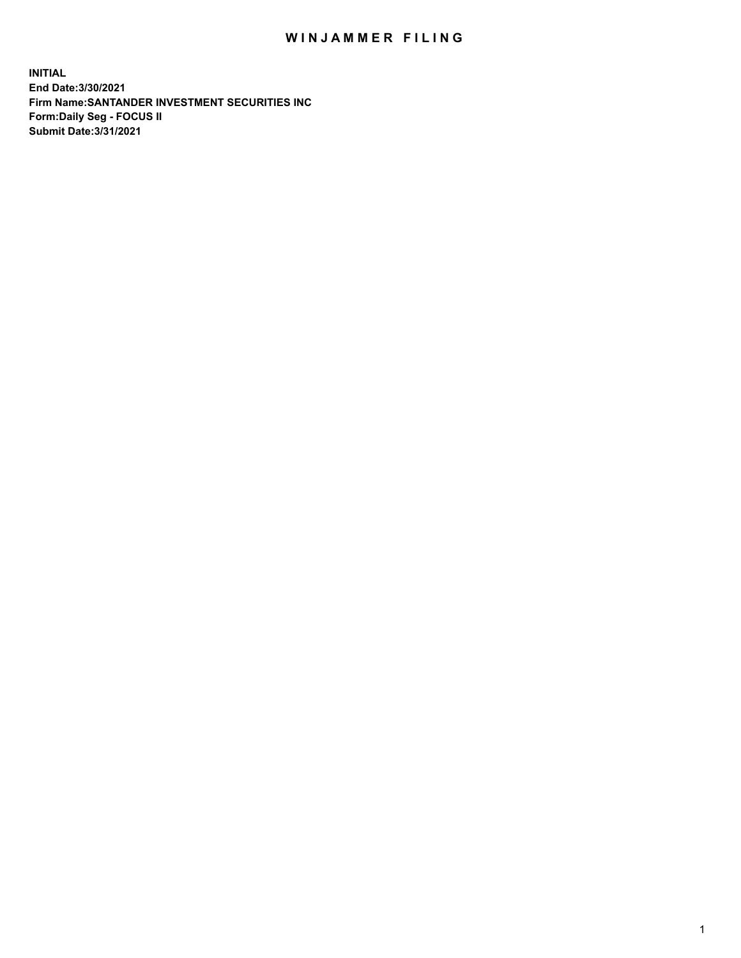## WIN JAMMER FILING

**INITIAL End Date:3/30/2021 Firm Name:SANTANDER INVESTMENT SECURITIES INC Form:Daily Seg - FOCUS II Submit Date:3/31/2021**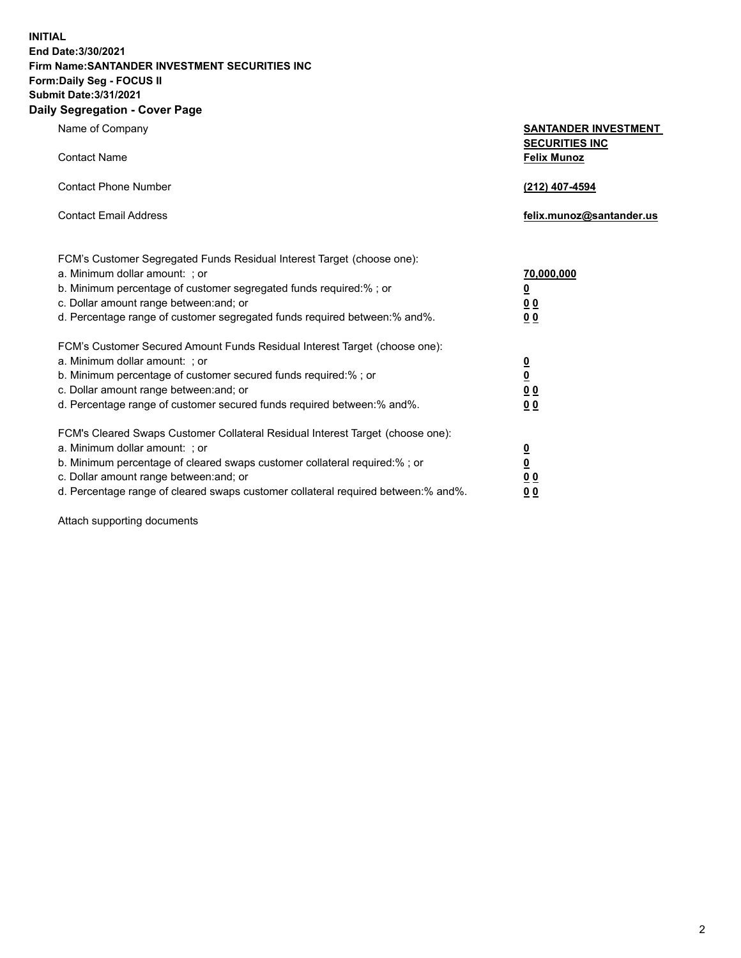**INITIAL End Date:3/30/2021 Firm Name:SANTANDER INVESTMENT SECURITIES INC Form:Daily Seg - FOCUS II Submit Date:3/31/2021 Daily Segregation - Cover Page**

| Name of Company                                                                   | <b>SANTANDER INVESTMENT</b><br><b>SECURITIES INC</b> |
|-----------------------------------------------------------------------------------|------------------------------------------------------|
| <b>Contact Name</b>                                                               | <b>Felix Munoz</b>                                   |
| <b>Contact Phone Number</b>                                                       | (212) 407-4594                                       |
| <b>Contact Email Address</b>                                                      | felix.munoz@santander.us                             |
| FCM's Customer Segregated Funds Residual Interest Target (choose one):            |                                                      |
| a. Minimum dollar amount: ; or                                                    | 70,000,000                                           |
| b. Minimum percentage of customer segregated funds required:%; or                 | <u>0</u>                                             |
| c. Dollar amount range between: and; or                                           | 0 <sub>0</sub>                                       |
| d. Percentage range of customer segregated funds required between:% and%.         | 0 <sub>0</sub>                                       |
| FCM's Customer Secured Amount Funds Residual Interest Target (choose one):        |                                                      |
| a. Minimum dollar amount: ; or                                                    | $\frac{0}{0}$                                        |
| b. Minimum percentage of customer secured funds required:%; or                    |                                                      |
| c. Dollar amount range between: and; or                                           | 0 <sub>0</sub>                                       |
| d. Percentage range of customer secured funds required between:% and%.            | 0 <sub>0</sub>                                       |
| FCM's Cleared Swaps Customer Collateral Residual Interest Target (choose one):    |                                                      |
| a. Minimum dollar amount: ; or                                                    | $\overline{\mathbf{0}}$                              |
| b. Minimum percentage of cleared swaps customer collateral required:% ; or        | $\underline{\mathbf{0}}$                             |
| c. Dollar amount range between: and; or                                           | 0 <sub>0</sub>                                       |
| d. Percentage range of cleared swaps customer collateral required between:% and%. | <u>00</u>                                            |

Attach supporting documents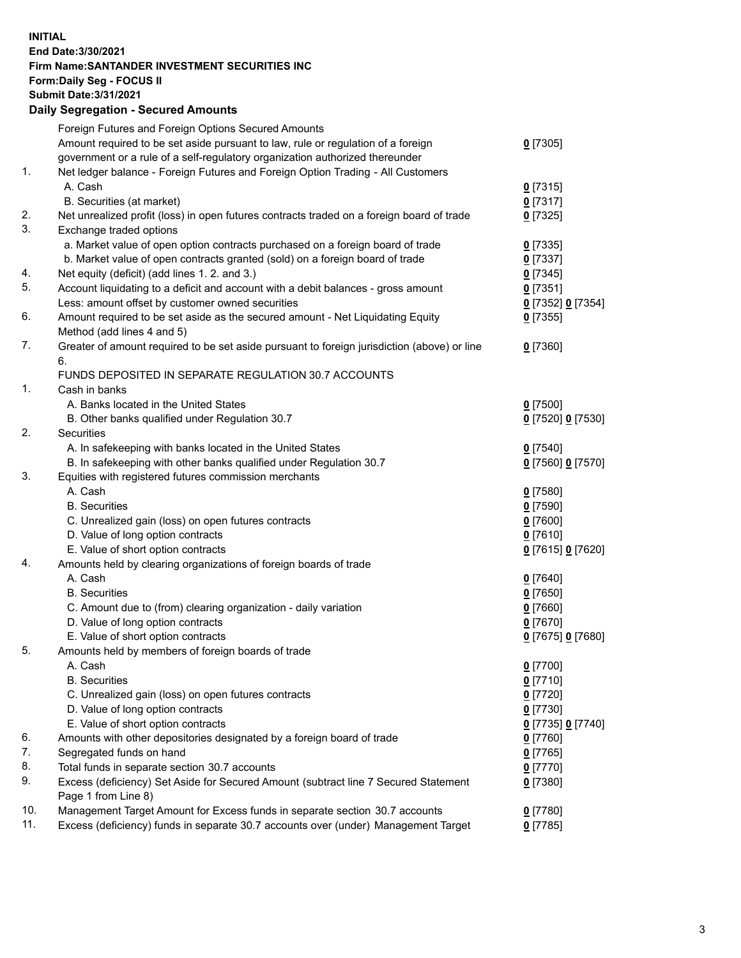**INITIAL End Date:3/30/2021 Firm Name:SANTANDER INVESTMENT SECURITIES INC Form:Daily Seg - FOCUS II Submit Date:3/31/2021 Daily Segregation - Secured Amounts**

|          | Foreign Futures and Foreign Options Secured Amounts                                         |                                         |
|----------|---------------------------------------------------------------------------------------------|-----------------------------------------|
|          | Amount required to be set aside pursuant to law, rule or regulation of a foreign            | $0$ [7305]                              |
|          | government or a rule of a self-regulatory organization authorized thereunder                |                                         |
| 1.       | Net ledger balance - Foreign Futures and Foreign Option Trading - All Customers             |                                         |
|          | A. Cash                                                                                     | $0$ [7315]                              |
|          | B. Securities (at market)                                                                   | $0$ [7317]                              |
| 2.       | Net unrealized profit (loss) in open futures contracts traded on a foreign board of trade   | $0$ [7325]                              |
| 3.       | Exchange traded options                                                                     |                                         |
|          | a. Market value of open option contracts purchased on a foreign board of trade              | $0$ [7335]                              |
|          | b. Market value of open contracts granted (sold) on a foreign board of trade                | $0$ [7337]                              |
| 4.       | Net equity (deficit) (add lines 1. 2. and 3.)                                               | $0$ [7345]                              |
| 5.       | Account liquidating to a deficit and account with a debit balances - gross amount           | $0$ [7351]                              |
|          | Less: amount offset by customer owned securities                                            | 0 [7352] 0 [7354]                       |
| 6.       | Amount required to be set aside as the secured amount - Net Liquidating Equity              | $0$ [7355]                              |
|          | Method (add lines 4 and 5)                                                                  |                                         |
| 7.       | Greater of amount required to be set aside pursuant to foreign jurisdiction (above) or line | $0$ [7360]                              |
|          | 6.                                                                                          |                                         |
|          | FUNDS DEPOSITED IN SEPARATE REGULATION 30.7 ACCOUNTS                                        |                                         |
| 1.       | Cash in banks                                                                               |                                         |
|          | A. Banks located in the United States                                                       | $0$ [7500]                              |
|          | B. Other banks qualified under Regulation 30.7                                              | 0 [7520] 0 [7530]                       |
| 2.       | <b>Securities</b>                                                                           |                                         |
|          | A. In safekeeping with banks located in the United States                                   | $0$ [7540]                              |
|          | B. In safekeeping with other banks qualified under Regulation 30.7                          | 0 [7560] 0 [7570]                       |
| 3.       | Equities with registered futures commission merchants                                       |                                         |
|          | A. Cash                                                                                     | $0$ [7580]                              |
|          | <b>B.</b> Securities                                                                        | $0$ [7590]                              |
|          | C. Unrealized gain (loss) on open futures contracts                                         | $0$ [7600]                              |
|          | D. Value of long option contracts                                                           | $0$ [7610]                              |
|          | E. Value of short option contracts                                                          | 0 [7615] 0 [7620]                       |
| 4.       | Amounts held by clearing organizations of foreign boards of trade                           |                                         |
|          | A. Cash                                                                                     | $0$ [7640]                              |
|          | <b>B.</b> Securities                                                                        | $0$ [7650]                              |
|          | C. Amount due to (from) clearing organization - daily variation                             | $0$ [7660]                              |
|          | D. Value of long option contracts                                                           | $0$ [7670]                              |
| 5.       | E. Value of short option contracts                                                          | 0 [7675] 0 [7680]                       |
|          | Amounts held by members of foreign boards of trade                                          |                                         |
|          | A. Cash                                                                                     | 0 [7700]                                |
|          | <b>B.</b> Securities                                                                        | 0 <sup>[7710]</sup>                     |
|          | C. Unrealized gain (loss) on open futures contracts<br>D. Value of long option contracts    | $0$ [7720]                              |
|          | E. Value of short option contracts                                                          | $0$ [7730]                              |
|          |                                                                                             | 0 <sup>[7735]</sup> 0 <sup>[7740]</sup> |
| 6.<br>7. | Amounts with other depositories designated by a foreign board of trade                      | 0 [7760]                                |
| 8.       | Segregated funds on hand<br>Total funds in separate section 30.7 accounts                   | $0$ [7765]                              |
| 9.       | Excess (deficiency) Set Aside for Secured Amount (subtract line 7 Secured Statement         | $0$ [7770]                              |
|          | Page 1 from Line 8)                                                                         | 0 [7380]                                |
| 10.      | Management Target Amount for Excess funds in separate section 30.7 accounts                 | $0$ [7780]                              |
| 11.      | Excess (deficiency) funds in separate 30.7 accounts over (under) Management Target          | 0 <sup>[7785]</sup>                     |
|          |                                                                                             |                                         |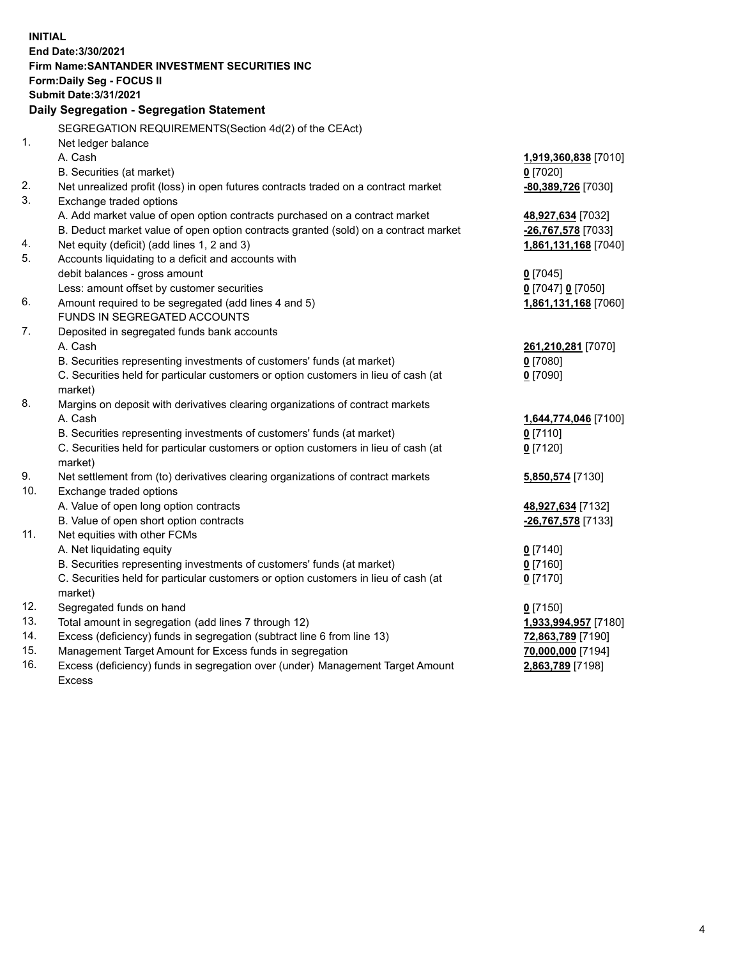| <b>INITIAL</b> |                                                                                            |                      |  |  |  |  |
|----------------|--------------------------------------------------------------------------------------------|----------------------|--|--|--|--|
|                | End Date: 3/30/2021                                                                        |                      |  |  |  |  |
|                | Firm Name: SANTANDER INVESTMENT SECURITIES INC                                             |                      |  |  |  |  |
|                | Form: Daily Seg - FOCUS II                                                                 |                      |  |  |  |  |
|                | <b>Submit Date: 3/31/2021</b>                                                              |                      |  |  |  |  |
|                | Daily Segregation - Segregation Statement                                                  |                      |  |  |  |  |
|                | SEGREGATION REQUIREMENTS(Section 4d(2) of the CEAct)                                       |                      |  |  |  |  |
| 1.             | Net ledger balance                                                                         |                      |  |  |  |  |
|                | A. Cash                                                                                    | 1,919,360,838 [7010] |  |  |  |  |
|                | B. Securities (at market)                                                                  | $0$ [7020]           |  |  |  |  |
| 2.             | Net unrealized profit (loss) in open futures contracts traded on a contract market         | -80,389,726 [7030]   |  |  |  |  |
| 3.             | Exchange traded options                                                                    |                      |  |  |  |  |
|                | A. Add market value of open option contracts purchased on a contract market                | 48,927,634 [7032]    |  |  |  |  |
|                | B. Deduct market value of open option contracts granted (sold) on a contract market        | -26,767,578 [7033]   |  |  |  |  |
| 4.             | Net equity (deficit) (add lines 1, 2 and 3)                                                | 1,861,131,168 [7040] |  |  |  |  |
| 5.             | Accounts liquidating to a deficit and accounts with                                        |                      |  |  |  |  |
|                | debit balances - gross amount                                                              | $0$ [7045]           |  |  |  |  |
|                | Less: amount offset by customer securities                                                 | 0 [7047] 0 [7050]    |  |  |  |  |
| 6.             | Amount required to be segregated (add lines 4 and 5)                                       | 1,861,131,168 [7060] |  |  |  |  |
|                | FUNDS IN SEGREGATED ACCOUNTS                                                               |                      |  |  |  |  |
| 7.             | Deposited in segregated funds bank accounts                                                |                      |  |  |  |  |
|                | A. Cash                                                                                    | 261,210,281 [7070]   |  |  |  |  |
|                | B. Securities representing investments of customers' funds (at market)                     | $0$ [7080]           |  |  |  |  |
|                | C. Securities held for particular customers or option customers in lieu of cash (at        | $0$ [7090]           |  |  |  |  |
|                | market)                                                                                    |                      |  |  |  |  |
| 8.             | Margins on deposit with derivatives clearing organizations of contract markets             |                      |  |  |  |  |
|                | A. Cash                                                                                    | 1,644,774,046 [7100] |  |  |  |  |
|                | B. Securities representing investments of customers' funds (at market)                     | $0$ [7110]           |  |  |  |  |
|                | C. Securities held for particular customers or option customers in lieu of cash (at        | $0$ [7120]           |  |  |  |  |
| 9.             | market)<br>Net settlement from (to) derivatives clearing organizations of contract markets |                      |  |  |  |  |
| 10.            | Exchange traded options                                                                    | 5,850,574 [7130]     |  |  |  |  |
|                | A. Value of open long option contracts                                                     | 48,927,634 [7132]    |  |  |  |  |
|                | B. Value of open short option contracts                                                    | -26,767,578 [7133]   |  |  |  |  |
| 11.            | Net equities with other FCMs                                                               |                      |  |  |  |  |
|                | A. Net liquidating equity                                                                  | $0$ [7140]           |  |  |  |  |
|                | B. Securities representing investments of customers' funds (at market)                     | $0$ [7160]           |  |  |  |  |
|                | C. Securities held for particular customers or option customers in lieu of cash (at        | $0$ [7170]           |  |  |  |  |
|                | market)                                                                                    |                      |  |  |  |  |
| 12.            | Segregated funds on hand                                                                   | $0$ [7150]           |  |  |  |  |
| 13.            | Total amount in segregation (add lines 7 through 12)                                       | 1,933,994,957 [7180] |  |  |  |  |
| 14.            | Excess (deficiency) funds in segregation (subtract line 6 from line 13)                    | 72,863,789 [7190]    |  |  |  |  |
| 15.            | Management Target Amount for Excess funds in segregation                                   | 70,000,000 [7194]    |  |  |  |  |
| 16.            | Excess (deficiency) funds in segregation over (under) Management Target Amount             | 2,863,789 [7198]     |  |  |  |  |
|                | <b>Excess</b>                                                                              |                      |  |  |  |  |